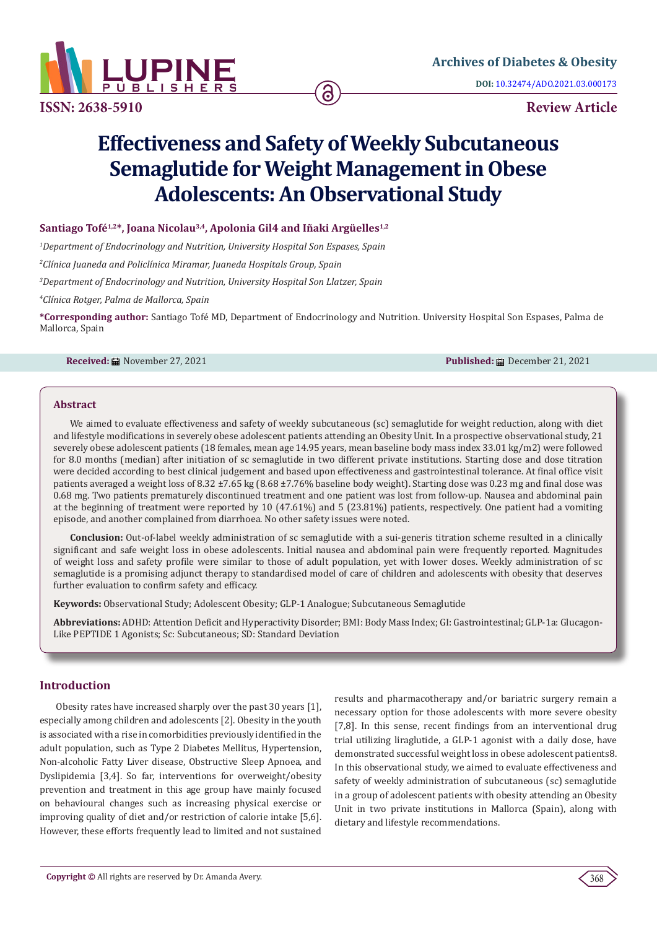

**ISSN: 2638-5910 Review Article**

# **Effectiveness and Safety of Weekly Subcutaneous Semaglutide for Weight Management in Obese Adolescents: An Observational Study**

# Santiago Tofé<sup>1,2\*</sup>, Joana Nicolau<sup>3,4</sup>, Apolonia Gil4 and Iñaki Argüelles<sup>1,2</sup>

*1 Department of Endocrinology and Nutrition, University Hospital Son Espases, Spain*

*2 Clínica Juaneda and Policlínica Miramar, Juaneda Hospitals Group, Spain*

*3 Department of Endocrinology and Nutrition, University Hospital Son Llatzer, Spain*

*4 Clínica Rotger, Palma de Mallorca, Spain*

**\*Corresponding author:** Santiago Tofé MD, Department of Endocrinology and Nutrition. University Hospital Son Espases, Palma de Mallorca, Spain

**Received:** ■ November 27, 2021 **Published:** ■ Published: ■ December 21, 2021

#### **Abstract**

We aimed to evaluate effectiveness and safety of weekly subcutaneous (sc) semaglutide for weight reduction, along with diet and lifestyle modifications in severely obese adolescent patients attending an Obesity Unit. In a prospective observational study, 21 severely obese adolescent patients (18 females, mean age 14.95 years, mean baseline body mass index 33.01 kg/m2) were followed for 8.0 months (median) after initiation of sc semaglutide in two different private institutions. Starting dose and dose titration were decided according to best clinical judgement and based upon effectiveness and gastrointestinal tolerance. At final office visit patients averaged a weight loss of 8.32 ±7.65 kg (8.68 ±7.76% baseline body weight). Starting dose was 0.23 mg and final dose was 0.68 mg. Two patients prematurely discontinued treatment and one patient was lost from follow-up. Nausea and abdominal pain at the beginning of treatment were reported by 10 (47.61%) and 5 (23.81%) patients, respectively. One patient had a vomiting episode, and another complained from diarrhoea. No other safety issues were noted.

**Conclusion:** Out-of-label weekly administration of sc semaglutide with a sui-generis titration scheme resulted in a clinically significant and safe weight loss in obese adolescents. Initial nausea and abdominal pain were frequently reported. Magnitudes of weight loss and safety profile were similar to those of adult population, yet with lower doses. Weekly administration of sc semaglutide is a promising adjunct therapy to standardised model of care of children and adolescents with obesity that deserves further evaluation to confirm safety and efficacy.

**Keywords:** Observational Study; Adolescent Obesity; GLP-1 Analogue; Subcutaneous Semaglutide

**Abbreviations:** ADHD: Attention Deficit and Hyperactivity Disorder; BMI: Body Mass Index; GI: Gastrointestinal; GLP-1a: Glucagon-Like PEPTIDE 1 Agonists; Sc: Subcutaneous; SD: Standard Deviation

#### **Introduction**

Obesity rates have increased sharply over the past 30 years [1], especially among children and adolescents [2]. Obesity in the youth is associated with a rise in comorbidities previously identified in the adult population, such as Type 2 Diabetes Mellitus, Hypertension, Non-alcoholic Fatty Liver disease, Obstructive Sleep Apnoea, and Dyslipidemia [3,4]. So far, interventions for overweight/obesity prevention and treatment in this age group have mainly focused on behavioural changes such as increasing physical exercise or improving quality of diet and/or restriction of calorie intake [5,6]. However, these efforts frequently lead to limited and not sustained results and pharmacotherapy and/or bariatric surgery remain a necessary option for those adolescents with more severe obesity [7,8]. In this sense, recent findings from an interventional drug trial utilizing liraglutide, a GLP-1 agonist with a daily dose, have demonstrated successful weight loss in obese adolescent patients8. In this observational study, we aimed to evaluate effectiveness and safety of weekly administration of subcutaneous (sc) semaglutide in a group of adolescent patients with obesity attending an Obesity Unit in two private institutions in Mallorca (Spain), along with dietary and lifestyle recommendations.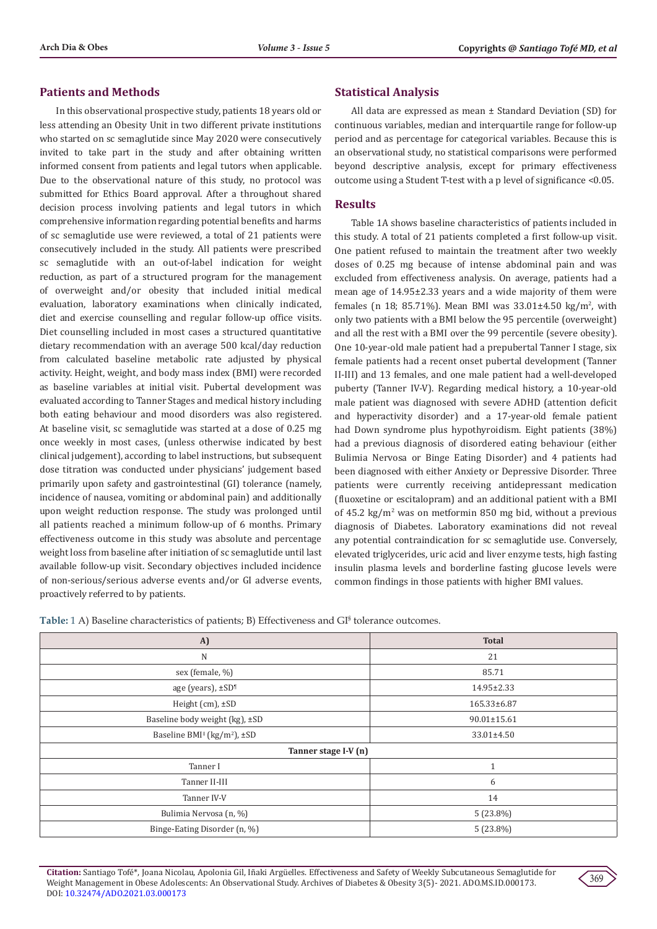#### **Patients and Methods**

In this observational prospective study, patients 18 years old or less attending an Obesity Unit in two different private institutions who started on sc semaglutide since May 2020 were consecutively invited to take part in the study and after obtaining written informed consent from patients and legal tutors when applicable. Due to the observational nature of this study, no protocol was submitted for Ethics Board approval. After a throughout shared decision process involving patients and legal tutors in which comprehensive information regarding potential benefits and harms of sc semaglutide use were reviewed, a total of 21 patients were consecutively included in the study. All patients were prescribed sc semaglutide with an out-of-label indication for weight reduction, as part of a structured program for the management of overweight and/or obesity that included initial medical evaluation, laboratory examinations when clinically indicated, diet and exercise counselling and regular follow-up office visits. Diet counselling included in most cases a structured quantitative dietary recommendation with an average 500 kcal/day reduction from calculated baseline metabolic rate adjusted by physical activity. Height, weight, and body mass index (BMI) were recorded as baseline variables at initial visit. Pubertal development was evaluated according to Tanner Stages and medical history including both eating behaviour and mood disorders was also registered. At baseline visit, sc semaglutide was started at a dose of 0.25 mg once weekly in most cases, (unless otherwise indicated by best clinical judgement), according to label instructions, but subsequent dose titration was conducted under physicians' judgement based primarily upon safety and gastrointestinal (GI) tolerance (namely, incidence of nausea, vomiting or abdominal pain) and additionally upon weight reduction response. The study was prolonged until all patients reached a minimum follow-up of 6 months. Primary effectiveness outcome in this study was absolute and percentage weight loss from baseline after initiation of sc semaglutide until last available follow-up visit. Secondary objectives included incidence of non-serious/serious adverse events and/or GI adverse events, proactively referred to by patients.

#### **Statistical Analysis**

All data are expressed as mean ± Standard Deviation (SD) for continuous variables, median and interquartile range for follow-up period and as percentage for categorical variables. Because this is an observational study, no statistical comparisons were performed beyond descriptive analysis, except for primary effectiveness outcome using a Student T-test with a p level of significance <0.05.

#### **Results**

Table 1A shows baseline characteristics of patients included in this study. A total of 21 patients completed a first follow-up visit. One patient refused to maintain the treatment after two weekly doses of 0.25 mg because of intense abdominal pain and was excluded from effectiveness analysis. On average, patients had a mean age of 14.95±2.33 years and a wide majority of them were females (n 18; 85.71%). Mean BMI was  $33.01\pm4.50$  kg/m<sup>2</sup>, with only two patients with a BMI below the 95 percentile (overweight) and all the rest with a BMI over the 99 percentile (severe obesity). One 10-year-old male patient had a prepubertal Tanner I stage, six female patients had a recent onset pubertal development (Tanner II-III) and 13 females, and one male patient had a well-developed puberty (Tanner IV-V). Regarding medical history, a 10-year-old male patient was diagnosed with severe ADHD (attention deficit and hyperactivity disorder) and a 17-year-old female patient had Down syndrome plus hypothyroidism. Eight patients (38%) had a previous diagnosis of disordered eating behaviour (either Bulimia Nervosa or Binge Eating Disorder) and 4 patients had been diagnosed with either Anxiety or Depressive Disorder. Three patients were currently receiving antidepressant medication (fluoxetine or escitalopram) and an additional patient with a BMI of 45.2 kg/m<sup>2</sup> was on metformin 850 mg bid, without a previous diagnosis of Diabetes. Laboratory examinations did not reveal any potential contraindication for sc semaglutide use. Conversely, elevated triglycerides, uric acid and liver enzyme tests, high fasting insulin plasma levels and borderline fasting glucose levels were common findings in those patients with higher BMI values.

Table: 1 A) Baseline characteristics of patients; B) Effectiveness and GI<sup>§</sup> tolerance outcomes.

| A)                                                  | <b>Total</b>      |
|-----------------------------------------------------|-------------------|
| $\mathbb N$                                         | 21                |
| sex (female, %)                                     | 85.71             |
| age (years), ±SD <sup>1</sup>                       | 14.95±2.33        |
| Height (cm), ±SD                                    | 165.33±6.87       |
| Baseline body weight (kg), ±SD                      | $90.01 \pm 15.61$ |
| Baseline BMI <sup>‡</sup> (kg/m <sup>2</sup> ), ±SD | 33.01±4.50        |
| Tanner stage I-V (n)                                |                   |
| Tanner I                                            | $\mathbf{1}$      |
| Tanner II-III                                       | 6                 |
| Tanner IV-V                                         | 14                |
| Bulimia Nervosa (n, %)                              | $5(23.8\%)$       |
| Binge-Eating Disorder (n, %)                        | $5(23.8\%)$       |

**Citation:** Santiago Tofé\*, Joana Nicolau, Apolonia Gil, Iñaki Argüelles. Effectiveness and Safety of Weekly Subcutaneous Semaglutide for Weight Management in Obese Adolescents: An Observational Study. Archives of Diabetes & Obesity 3(5)- 2021. ADO.MS.ID.000173. DOI: [10.32474/ADO.2021.03.0001](http://dx.doi.org/10.32474/ADO.2021.03.000173)73

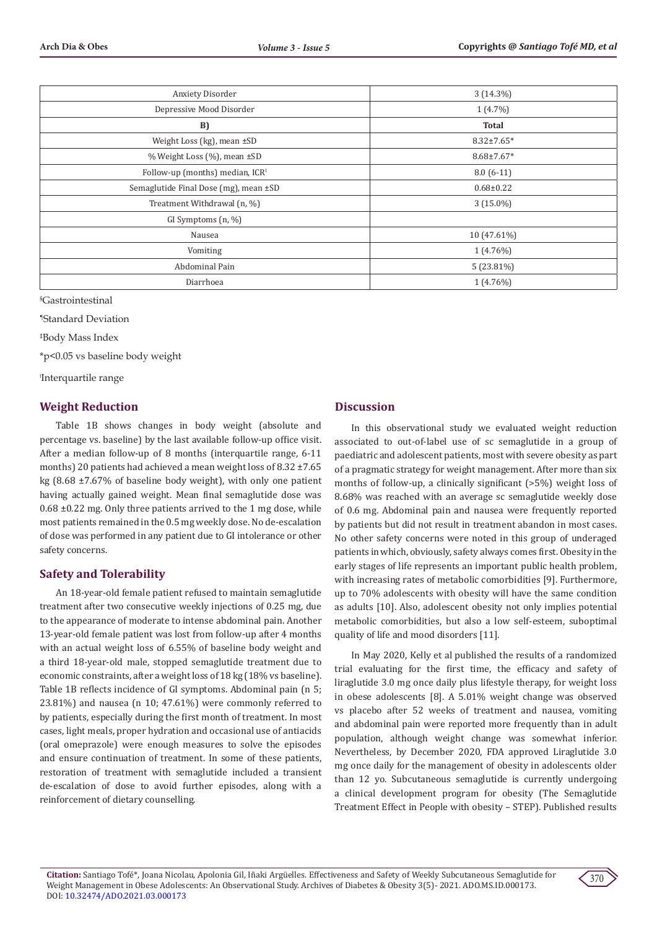| Anxiety Disorder                            | $3(14.3\%)$      |
|---------------------------------------------|------------------|
| Depressive Mood Disorder                    | $1(4.7\%)$       |
| B)                                          | <b>Total</b>     |
| Weight Loss (kg), mean ±SD                  | $8.32 \pm 7.65*$ |
| % Weight Loss (%), mean ±SD                 | $8.68 \pm 7.67*$ |
| Follow-up (months) median, ICR <sup>1</sup> | $8.0(6-11)$      |
| Semaglutide Final Dose (mg), mean ±SD       | $0.68 \pm 0.22$  |
| Treatment Withdrawal (n, %)                 | $3(15.0\%)$      |
| GI Symptoms (n, %)                          |                  |
| Nausea                                      | 10 (47.61%)      |
| Vomiting                                    | $1(4.76\%)$      |
| Abdominal Pain                              | $5(23.81\%)$     |
| Diarrhoea                                   | $1(4.76\%)$      |

§ Gastrointestinal

¶Standard Deviation

‡ Body Mass Index

\*p<0.05 vs baseline body weight

ꝉ Interquartile range

## **Weight Reduction**

Table 1B shows changes in body weight (absolute and percentage vs. baseline) by the last available follow-up office visit. After a median follow-up of 8 months (interquartile range, 6-11 months) 20 patients had achieved a mean weight loss of 8.32 ±7.65 kg (8.68 ±7.67% of baseline body weight), with only one patient having actually gained weight. Mean final semaglutide dose was 0.68 ±0.22 mg. Only three patients arrived to the 1 mg dose, while most patients remained in the 0.5 mg weekly dose. No de-escalation of dose was performed in any patient due to GI intolerance or other safety concerns.

# **Safety and Tolerability**

An 18-year-old female patient refused to maintain semaglutide treatment after two consecutive weekly injections of 0.25 mg, due to the appearance of moderate to intense abdominal pain. Another 13-year-old female patient was lost from follow-up after 4 months with an actual weight loss of 6.55% of baseline body weight and a third 18-year-old male, stopped semaglutide treatment due to economic constraints, after a weight loss of 18 kg (18% vs baseline). Table 1B reflects incidence of GI symptoms. Abdominal pain (n 5; 23.81%) and nausea (n 10; 47.61%) were commonly referred to by patients, especially during the first month of treatment. In most cases, light meals, proper hydration and occasional use of antiacids (oral omeprazole) were enough measures to solve the episodes and ensure continuation of treatment. In some of these patients, restoration of treatment with semaglutide included a transient de-escalation of dose to avoid further episodes, along with a reinforcement of dietary counselling.

# **Discussion**

In this observational study we evaluated weight reduction associated to out-of-label use of sc semaglutide in a group of paediatric and adolescent patients, most with severe obesity as part of a pragmatic strategy for weight management. After more than six months of follow-up, a clinically significant (>5%) weight loss of 8.68% was reached with an average sc semaglutide weekly dose of 0.6 mg. Abdominal pain and nausea were frequently reported by patients but did not result in treatment abandon in most cases. No other safety concerns were noted in this group of underaged patients in which, obviously, safety always comes first. Obesity in the early stages of life represents an important public health problem, with increasing rates of metabolic comorbidities [9]. Furthermore, up to 70% adolescents with obesity will have the same condition as adults [10]. Also, adolescent obesity not only implies potential metabolic comorbidities, but also a low self-esteem, suboptimal quality of life and mood disorders [11].

In May 2020, Kelly et al published the results of a randomized trial evaluating for the first time, the efficacy and safety of liraglutide 3.0 mg once daily plus lifestyle therapy, for weight loss in obese adolescents [8]. A 5.01% weight change was observed vs placebo after 52 weeks of treatment and nausea, vomiting and abdominal pain were reported more frequently than in adult population, although weight change was somewhat inferior. Nevertheless, by December 2020, FDA approved Liraglutide 3.0 mg once daily for the management of obesity in adolescents older than 12 yo. Subcutaneous semaglutide is currently undergoing a clinical development program for obesity (The Semaglutide Treatment Effect in People with obesity – STEP). Published results

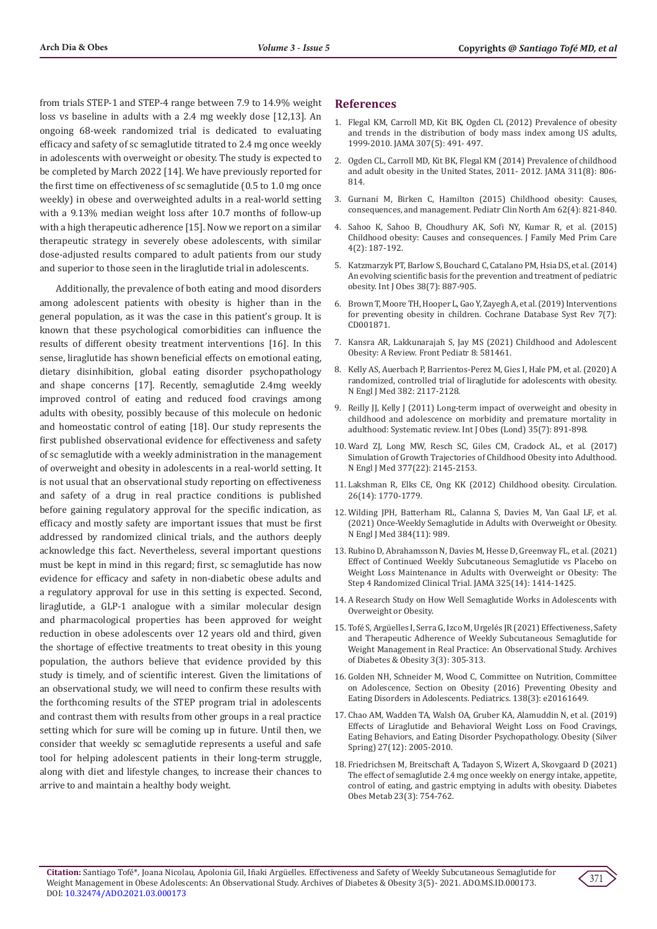from trials STEP-1 and STEP-4 range between 7.9 to 14.9% weight loss vs baseline in adults with a 2.4 mg weekly dose [12,13]. An ongoing 68-week randomized trial is dedicated to evaluating efficacy and safety of sc semaglutide titrated to 2.4 mg once weekly in adolescents with overweight or obesity. The study is expected to be completed by March 2022 [14]. We have previously reported for the first time on effectiveness of sc semaglutide (0.5 to 1.0 mg once weekly) in obese and overweighted adults in a real-world setting with a 9.13% median weight loss after 10.7 months of follow-up with a high therapeutic adherence [15]. Now we report on a similar therapeutic strategy in severely obese adolescents, with similar dose-adjusted results compared to adult patients from our study and superior to those seen in the liraglutide trial in adolescents.

Additionally, the prevalence of both eating and mood disorders among adolescent patients with obesity is higher than in the general population, as it was the case in this patient's group. It is known that these psychological comorbidities can influence the results of different obesity treatment interventions [16]. In this sense, liraglutide has shown beneficial effects on emotional eating, dietary disinhibition, global eating disorder psychopathology and shape concerns [17]. Recently, semaglutide 2.4mg weekly improved control of eating and reduced food cravings among adults with obesity, possibly because of this molecule on hedonic and homeostatic control of eating [18]. Our study represents the first published observational evidence for effectiveness and safety of sc semaglutide with a weekly administration in the management of overweight and obesity in adolescents in a real-world setting. It is not usual that an observational study reporting on effectiveness and safety of a drug in real practice conditions is published before gaining regulatory approval for the specific indication, as efficacy and mostly safety are important issues that must be first addressed by randomized clinical trials, and the authors deeply acknowledge this fact. Nevertheless, several important questions must be kept in mind in this regard; first, sc semaglutide has now evidence for efficacy and safety in non-diabetic obese adults and a regulatory approval for use in this setting is expected. Second, liraglutide, a GLP-1 analogue with a similar molecular design and pharmacological properties has been approved for weight reduction in obese adolescents over 12 years old and third, given the shortage of effective treatments to treat obesity in this young population, the authors believe that evidence provided by this study is timely, and of scientific interest. Given the limitations of an observational study, we will need to confirm these results with the forthcoming results of the STEP program trial in adolescents and contrast them with results from other groups in a real practice setting which for sure will be coming up in future. Until then, we consider that weekly sc semaglutide represents a useful and safe tool for helping adolescent patients in their long-term struggle, along with diet and lifestyle changes, to increase their chances to arrive to and maintain a healthy body weight.

#### **References**

- 1. [Flegal KM, Carroll MD, Kit BK, Ogden CL \(2012\) Prevalence of obesity](https://pubmed.ncbi.nlm.nih.gov/22253363/) [and trends in the distribution of body mass index among US adults,](https://pubmed.ncbi.nlm.nih.gov/22253363/) [1999-2010. JAMA 307\(5\): 491- 497.](https://pubmed.ncbi.nlm.nih.gov/22253363/)
- 2. [Ogden CL, Carroll MD, Kit BK, Flegal KM \(2014\) Prevalence of childhood](https://pubmed.ncbi.nlm.nih.gov/24570244/) [and adult obesity in the United States, 2011- 2012. JAMA 311\(8\): 806-](https://pubmed.ncbi.nlm.nih.gov/24570244/) [814.](https://pubmed.ncbi.nlm.nih.gov/24570244/)
- 3. [Gurnani M, Birken C, Hamilton \(2015\) Childhood obesity: Causes,](https://pubmed.ncbi.nlm.nih.gov/26210619/) [consequences, and management. Pediatr Clin North Am 62\(4\): 821-840.](https://pubmed.ncbi.nlm.nih.gov/26210619/)
- 4. [Sahoo K, Sahoo B, Choudhury AK, Sofi NY, Kumar R, et al. \(2015\)](https://pubmed.ncbi.nlm.nih.gov/25949965/) [Childhood obesity: Causes and consequences. J Family Med Prim Care](https://pubmed.ncbi.nlm.nih.gov/25949965/) [4\(2\): 187-192.](https://pubmed.ncbi.nlm.nih.gov/25949965/)
- 5. [Katzmarzyk PT, Barlow S, Bouchard C, Catalano PM, Hsia DS, et al. \(2014\)](https://pubmed.ncbi.nlm.nih.gov/24662696/) [An evolving scientific basis for the prevention and treatment of pediatric](https://pubmed.ncbi.nlm.nih.gov/24662696/) [obesity. Int J Obes 38\(7\): 887-905.](https://pubmed.ncbi.nlm.nih.gov/24662696/)
- 6. [Brown T, Moore TH, Hooper L, Gao Y, Zayegh A, et al. \(2019\) Interventions](https://pubmed.ncbi.nlm.nih.gov/31332776/) [for preventing obesity in children. Cochrane Database Syst Rev 7\(7\):](https://pubmed.ncbi.nlm.nih.gov/31332776/) [CD001871.](https://pubmed.ncbi.nlm.nih.gov/31332776/)
- 7. [Kansra AR, Lakkunarajah S, Jay MS \(2021\) Childhood and Adolescent](https://pubmed.ncbi.nlm.nih.gov/33511092/) [Obesity: A Review. Front Pediatr 8: 581461.](https://pubmed.ncbi.nlm.nih.gov/33511092/)
- 8. [Kelly AS, Auerbach P, Barrientos-Perez M, Gies I, Hale PM, et al. \(2020\) A](https://www.nejm.org/doi/full/10.1056/NEJMoa1916038) [randomized, controlled trial of liraglutide for adolescents with obesity.](https://www.nejm.org/doi/full/10.1056/NEJMoa1916038) [N Engl J Med 382: 2117-2128.](https://www.nejm.org/doi/full/10.1056/NEJMoa1916038)
- 9. [Reilly JJ, Kelly J \(2011\) Long-term impact of overweight and obesity in](https://pubmed.ncbi.nlm.nih.gov/20975725/) [childhood and adolescence on morbidity and premature mortality in](https://pubmed.ncbi.nlm.nih.gov/20975725/) [adulthood: Systematic review. Int J Obes \(Lond\) 35\(7\): 891-898.](https://pubmed.ncbi.nlm.nih.gov/20975725/)
- 10. [Ward ZJ, Long MW, Resch SC, Giles CM, Cradock AL, et al. \(2017\)](https://www.nejm.org/doi/full/10.1056/nejmoa1703860) [Simulation of Growth Trajectories of Childhood Obesity into Adulthood.](https://www.nejm.org/doi/full/10.1056/nejmoa1703860) [N Engl J Med 377\(22\): 2145-2153.](https://www.nejm.org/doi/full/10.1056/nejmoa1703860)
- 11. [Lakshman R, Elks CE, Ong KK \(2012\) Childhood obesity. Circulation.](https://www.ahajournals.org/doi/abs/10.1161/CIRCULATIONAHA.111.047738) [26\(14\): 1770-1779.](https://www.ahajournals.org/doi/abs/10.1161/CIRCULATIONAHA.111.047738)
- 12. [Wilding JPH, Batterham RL, Calanna S, Davies M, Van Gaal LF, et al.](https://pubmed.ncbi.nlm.nih.gov/33567185/) [\(2021\) Once-Weekly Semaglutide in Adults with Overweight or Obesity.](https://pubmed.ncbi.nlm.nih.gov/33567185/) [N Engl J Med 384\(11\): 989.](https://pubmed.ncbi.nlm.nih.gov/33567185/)
- 13. [Rubino D, Abrahamsson N, Davies M, Hesse D, Greenway FL, et al. \(2021\)](https://pubmed.ncbi.nlm.nih.gov/33755728/) [Effect of Continued Weekly Subcutaneous Semaglutide vs Placebo on](https://pubmed.ncbi.nlm.nih.gov/33755728/) [Weight Loss Maintenance in Adults with Overweight or Obesity: The](https://pubmed.ncbi.nlm.nih.gov/33755728/) [Step 4 Randomized Clinical Trial. JAMA 325\(14\): 1414-1425.](https://pubmed.ncbi.nlm.nih.gov/33755728/)
- 14. A Research Study on How Well Semaglutide Works in Adolescents with Overweight or Obesity.
- 15. [Tofé S, Argüelles I, Serra G, Izco M, Urgelés JR \(2021\) Effectiveness, Safety](https://lupinepublishers.com/diabetes-obesity-journal/fulltext/effectiveness-safety-and-therapeutic-adherence-of-weekly-subcutaneous-semaglutide-for-weight-management-in-real-practice-an-observational-study.ID.000161.php) [and Therapeutic Adherence of Weekly Subcutaneous Semaglutide for](https://lupinepublishers.com/diabetes-obesity-journal/fulltext/effectiveness-safety-and-therapeutic-adherence-of-weekly-subcutaneous-semaglutide-for-weight-management-in-real-practice-an-observational-study.ID.000161.php) [Weight Management in Real Practice: An Observational Study. Archives](https://lupinepublishers.com/diabetes-obesity-journal/fulltext/effectiveness-safety-and-therapeutic-adherence-of-weekly-subcutaneous-semaglutide-for-weight-management-in-real-practice-an-observational-study.ID.000161.php) [of Diabetes & Obesity 3\(3\): 305-313.](https://lupinepublishers.com/diabetes-obesity-journal/fulltext/effectiveness-safety-and-therapeutic-adherence-of-weekly-subcutaneous-semaglutide-for-weight-management-in-real-practice-an-observational-study.ID.000161.php)
- 16. [Golden NH, Schneider M, Wood C, Committee on Nutrition, Committee](https://pubmed.ncbi.nlm.nih.gov/27550979/) [on Adolescence, Section on Obesity \(2016\) Preventing Obesity and](https://pubmed.ncbi.nlm.nih.gov/27550979/) [Eating Disorders in Adolescents. Pediatrics. 138\(3\): e20161649.](https://pubmed.ncbi.nlm.nih.gov/27550979/)
- 17. [Chao AM, Wadden TA, Walsh OA, Gruber KA, Alamuddin N, et al. \(2019\)](https://pubmed.ncbi.nlm.nih.gov/31746553/) [Effects of Liraglutide and Behavioral Weight Loss on Food Cravings,](https://pubmed.ncbi.nlm.nih.gov/31746553/) [Eating Behaviors, and Eating Disorder Psychopathology. Obesity \(Silver](https://pubmed.ncbi.nlm.nih.gov/31746553/) [Spring\) 27\(12\): 2005-2010.](https://pubmed.ncbi.nlm.nih.gov/31746553/)
- 18. [Friedrichsen M, Breitschaft A, Tadayon S, Wizert A, Skovgaard D \(2021\)](https://pubmed.ncbi.nlm.nih.gov/33269530/) [The effect of semaglutide 2.4 mg once weekly on energy intake, appetite,](https://pubmed.ncbi.nlm.nih.gov/33269530/) [control of eating, and gastric emptying in adults with obesity. Diabetes](https://pubmed.ncbi.nlm.nih.gov/33269530/) [Obes Metab 23\(3\): 754-762.](https://pubmed.ncbi.nlm.nih.gov/33269530/)

**Citation:** Santiago Tofé\*, Joana Nicolau, Apolonia Gil, Iñaki Argüelles. Effectiveness and Safety of Weekly Subcutaneous Semaglutide for Weight Management in Obese Adolescents: An Observational Study. Archives of Diabetes & Obesity 3(5)- 2021. ADO.MS.ID.000173. DOI: [10.32474/ADO.2021.03.0001](http://dx.doi.org/10.32474/ADO.2021.03.000173)73